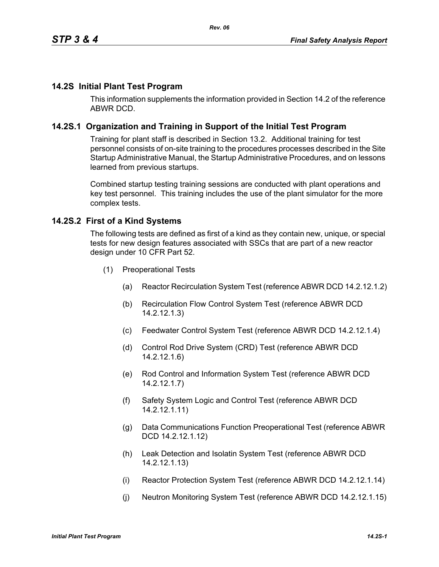### **14.2S Initial Plant Test Program**

This information supplements the information provided in Section 14.2 of the reference ABWR DCD.

### **14.2S.1 Organization and Training in Support of the Initial Test Program**

Training for plant staff is described in Section 13.2. Additional training for test personnel consists of on-site training to the procedures processes described in the Site Startup Administrative Manual, the Startup Administrative Procedures, and on lessons learned from previous startups.

Combined startup testing training sessions are conducted with plant operations and key test personnel. This training includes the use of the plant simulator for the more complex tests.

### **14.2S.2 First of a Kind Systems**

The following tests are defined as first of a kind as they contain new, unique, or special tests for new design features associated with SSCs that are part of a new reactor design under 10 CFR Part 52.

- (1) Preoperational Tests
	- (a) Reactor Recirculation System Test (reference ABWR DCD 14.2.12.1.2)
	- (b) Recirculation Flow Control System Test (reference ABWR DCD 14.2.12.1.3)
	- (c) Feedwater Control System Test (reference ABWR DCD 14.2.12.1.4)
	- (d) Control Rod Drive System (CRD) Test (reference ABWR DCD 14.2.12.1.6)
	- (e) Rod Control and Information System Test (reference ABWR DCD 14.2.12.1.7)
	- (f) Safety System Logic and Control Test (reference ABWR DCD 14.2.12.1.11)
	- (g) Data Communications Function Preoperational Test (reference ABWR DCD 14.2.12.1.12)
	- (h) Leak Detection and Isolatin System Test (reference ABWR DCD 14.2.12.1.13)
	- (i) Reactor Protection System Test (reference ABWR DCD 14.2.12.1.14)
	- (j) Neutron Monitoring System Test (reference ABWR DCD 14.2.12.1.15)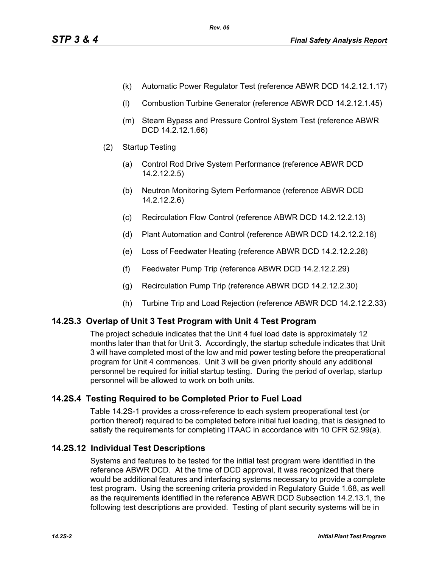- (k) Automatic Power Regulator Test (reference ABWR DCD 14.2.12.1.17)
- (l) Combustion Turbine Generator (reference ABWR DCD 14.2.12.1.45)
- (m) Steam Bypass and Pressure Control System Test (reference ABWR DCD 14.2.12.1.66)
- (2) Startup Testing
	- (a) Control Rod Drive System Performance (reference ABWR DCD 14.2.12.2.5)
	- (b) Neutron Monitoring Sytem Performance (reference ABWR DCD 14.2.12.2.6)
	- (c) Recirculation Flow Control (reference ABWR DCD 14.2.12.2.13)
	- (d) Plant Automation and Control (reference ABWR DCD 14.2.12.2.16)
	- (e) Loss of Feedwater Heating (reference ABWR DCD 14.2.12.2.28)
	- (f) Feedwater Pump Trip (reference ABWR DCD 14.2.12.2.29)
	- (g) Recirculation Pump Trip (reference ABWR DCD 14.2.12.2.30)
	- (h) Turbine Trip and Load Rejection (reference ABWR DCD 14.2.12.2.33)

## **14.2S.3 Overlap of Unit 3 Test Program with Unit 4 Test Program**

The project schedule indicates that the Unit 4 fuel load date is approximately 12 months later than that for Unit 3. Accordingly, the startup schedule indicates that Unit 3 will have completed most of the low and mid power testing before the preoperational program for Unit 4 commences. Unit 3 will be given priority should any additional personnel be required for initial startup testing. During the period of overlap, startup personnel will be allowed to work on both units.

## **14.2S.4 Testing Required to be Completed Prior to Fuel Load**

Table 14.2S-1 provides a cross-reference to each system preoperational test (or portion thereof) required to be completed before initial fuel loading, that is designed to satisfy the requirements for completing ITAAC in accordance with 10 CFR 52.99(a).

## **14.2S.12 Individual Test Descriptions**

Systems and features to be tested for the initial test program were identified in the reference ABWR DCD. At the time of DCD approval, it was recognized that there would be additional features and interfacing systems necessary to provide a complete test program. Using the screening criteria provided in Regulatory Guide 1.68, as well as the requirements identified in the reference ABWR DCD Subsection 14.2.13.1, the following test descriptions are provided. Testing of plant security systems will be in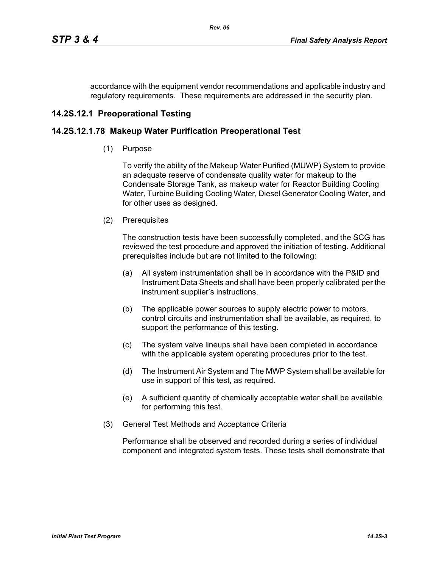accordance with the equipment vendor recommendations and applicable industry and regulatory requirements. These requirements are addressed in the security plan.

# **14.2S.12.1 Preoperational Testing**

## **14.2S.12.1.78 Makeup Water Purification Preoperational Test**

(1) Purpose

To verify the ability of the Makeup Water Purified (MUWP) System to provide an adequate reserve of condensate quality water for makeup to the Condensate Storage Tank, as makeup water for Reactor Building Cooling Water, Turbine Building Cooling Water, Diesel Generator Cooling Water, and for other uses as designed.

(2) Prerequisites

The construction tests have been successfully completed, and the SCG has reviewed the test procedure and approved the initiation of testing. Additional prerequisites include but are not limited to the following:

- (a) All system instrumentation shall be in accordance with the P&ID and Instrument Data Sheets and shall have been properly calibrated per the instrument supplier's instructions.
- (b) The applicable power sources to supply electric power to motors, control circuits and instrumentation shall be available, as required, to support the performance of this testing.
- (c) The system valve lineups shall have been completed in accordance with the applicable system operating procedures prior to the test.
- (d) The Instrument Air System and The MWP System shall be available for use in support of this test, as required.
- (e) A sufficient quantity of chemically acceptable water shall be available for performing this test.
- (3) General Test Methods and Acceptance Criteria

Performance shall be observed and recorded during a series of individual component and integrated system tests. These tests shall demonstrate that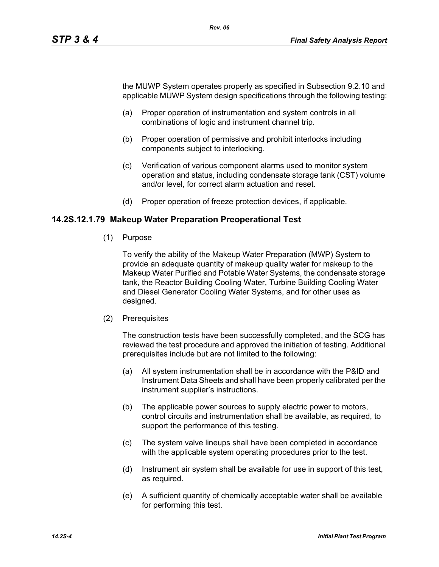the MUWP System operates properly as specified in Subsection 9.2.10 and applicable MUWP System design specifications through the following testing:

- (a) Proper operation of instrumentation and system controls in all combinations of logic and instrument channel trip.
- (b) Proper operation of permissive and prohibit interlocks including components subject to interlocking.
- (c) Verification of various component alarms used to monitor system operation and status, including condensate storage tank (CST) volume and/or level, for correct alarm actuation and reset.
- (d) Proper operation of freeze protection devices, if applicable.

### **14.2S.12.1.79 Makeup Water Preparation Preoperational Test**

(1) Purpose

To verify the ability of the Makeup Water Preparation (MWP) System to provide an adequate quantity of makeup quality water for makeup to the Makeup Water Purified and Potable Water Systems, the condensate storage tank, the Reactor Building Cooling Water, Turbine Building Cooling Water and Diesel Generator Cooling Water Systems, and for other uses as designed.

(2) Prerequisites

The construction tests have been successfully completed, and the SCG has reviewed the test procedure and approved the initiation of testing. Additional prerequisites include but are not limited to the following:

- (a) All system instrumentation shall be in accordance with the P&ID and Instrument Data Sheets and shall have been properly calibrated per the instrument supplier's instructions.
- (b) The applicable power sources to supply electric power to motors, control circuits and instrumentation shall be available, as required, to support the performance of this testing.
- (c) The system valve lineups shall have been completed in accordance with the applicable system operating procedures prior to the test.
- (d) Instrument air system shall be available for use in support of this test, as required.
- (e) A sufficient quantity of chemically acceptable water shall be available for performing this test.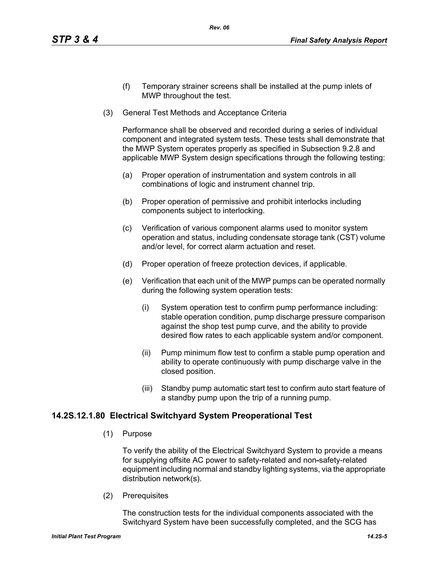- (f) Temporary strainer screens shall be installed at the pump inlets of MWP throughout the test.
- (3) General Test Methods and Acceptance Criteria

Performance shall be observed and recorded during a series of individual component and integrated system tests. These tests shall demonstrate that the MWP System operates properly as specified in Subsection 9.2.8 and applicable MWP System design specifications through the following testing:

- (a) Proper operation of instrumentation and system controls in all combinations of logic and instrument channel trip.
- (b) Proper operation of permissive and prohibit interlocks including components subject to interlocking.
- (c) Verification of various component alarms used to monitor system operation and status, including condensate storage tank (CST) volume and/or level, for correct alarm actuation and reset.
- (d) Proper operation of freeze protection devices, if applicable.
- (e) Verification that each unit of the MWP pumps can be operated normally during the following system operation tests:
	- (i) System operation test to confirm pump performance including: stable operation condition, pump discharge pressure comparison against the shop test pump curve, and the ability to provide desired flow rates to each applicable system and/or component.
	- (ii) Pump minimum flow test to confirm a stable pump operation and ability to operate continuously with pump discharge valve in the closed position.
	- (iii) Standby pump automatic start test to confirm auto start feature of a standby pump upon the trip of a running pump.

### **14.2S.12.1.80 Electrical Switchyard System Preoperational Test**

(1) Purpose

To verify the ability of the Electrical Switchyard System to provide a means for supplying offsite AC power to safety-related and non-safety-related equipment including normal and standby lighting systems, via the appropriate distribution network(s).

(2) Prerequisites

The construction tests for the individual components associated with the Switchyard System have been successfully completed, and the SCG has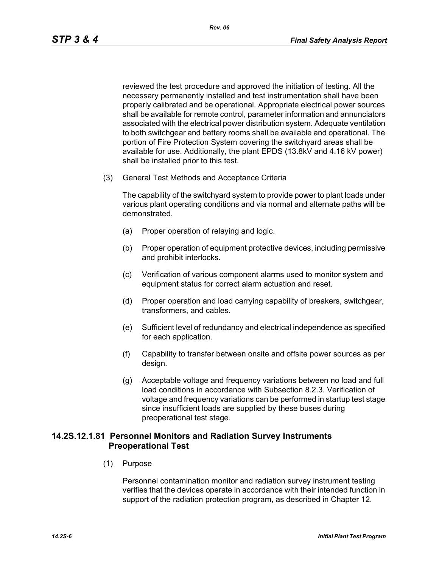reviewed the test procedure and approved the initiation of testing. All the necessary permanently installed and test instrumentation shall have been properly calibrated and be operational. Appropriate electrical power sources shall be available for remote control, parameter information and annunciators associated with the electrical power distribution system. Adequate ventilation to both switchgear and battery rooms shall be available and operational. The portion of Fire Protection System covering the switchyard areas shall be available for use. Additionally, the plant EPDS (13.8kV and 4.16 kV power) shall be installed prior to this test.

(3) General Test Methods and Acceptance Criteria

The capability of the switchyard system to provide power to plant loads under various plant operating conditions and via normal and alternate paths will be demonstrated.

- (a) Proper operation of relaying and logic.
- (b) Proper operation of equipment protective devices, including permissive and prohibit interlocks.
- (c) Verification of various component alarms used to monitor system and equipment status for correct alarm actuation and reset.
- (d) Proper operation and load carrying capability of breakers, switchgear, transformers, and cables.
- (e) Sufficient level of redundancy and electrical independence as specified for each application.
- (f) Capability to transfer between onsite and offsite power sources as per design.
- (g) Acceptable voltage and frequency variations between no load and full load conditions in accordance with Subsection 8.2.3. Verification of voltage and frequency variations can be performed in startup test stage since insufficient loads are supplied by these buses during preoperational test stage.

### **14.2S.12.1.81 Personnel Monitors and Radiation Survey Instruments Preoperational Test**

(1) Purpose

Personnel contamination monitor and radiation survey instrument testing verifies that the devices operate in accordance with their intended function in support of the radiation protection program, as described in Chapter 12.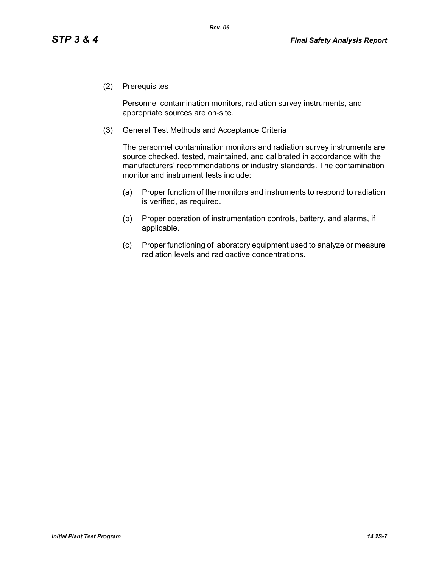(2) Prerequisites

Personnel contamination monitors, radiation survey instruments, and appropriate sources are on-site.

(3) General Test Methods and Acceptance Criteria

The personnel contamination monitors and radiation survey instruments are source checked, tested, maintained, and calibrated in accordance with the manufacturers' recommendations or industry standards. The contamination monitor and instrument tests include:

- (a) Proper function of the monitors and instruments to respond to radiation is verified, as required.
- (b) Proper operation of instrumentation controls, battery, and alarms, if applicable.
- (c) Proper functioning of laboratory equipment used to analyze or measure radiation levels and radioactive concentrations.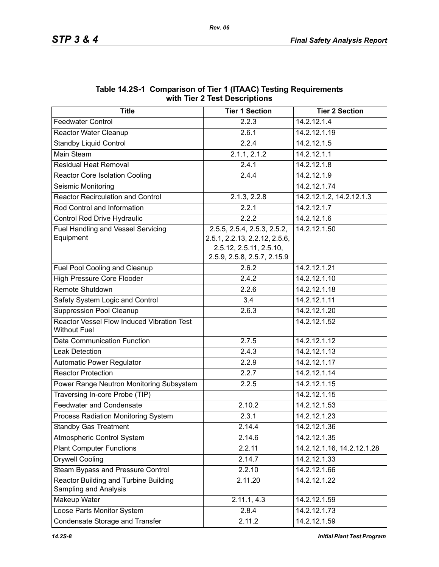| $\frac{1}{2}$                                                     |                               |                            |  |  |
|-------------------------------------------------------------------|-------------------------------|----------------------------|--|--|
| <b>Title</b>                                                      | <b>Tier 1 Section</b>         | <b>Tier 2 Section</b>      |  |  |
| <b>Feedwater Control</b>                                          | 2.2.3                         | 14.2.12.1.4                |  |  |
| Reactor Water Cleanup                                             | 2.6.1                         | 14.2.12.1.19               |  |  |
| <b>Standby Liquid Control</b>                                     | 2.2.4                         | 14.2.12.1.5                |  |  |
| Main Steam                                                        | $2.1.1, 2.\overline{1.2}$     | 14.2.12.1.1                |  |  |
| <b>Residual Heat Removal</b>                                      | 2.4.1                         | 14.2.12.1.8                |  |  |
| <b>Reactor Core Isolation Cooling</b>                             | 2.4.4                         | 14.2.12.1.9                |  |  |
| Seismic Monitoring                                                |                               | 14.2.12.1.74               |  |  |
| <b>Reactor Recirculation and Control</b>                          | 2.1.3, 2.2.8                  | 14.2.12.1.2, 14.2.12.1.3   |  |  |
| Rod Control and Information                                       | 2.2.1                         | 14.2.12.1.7                |  |  |
| Control Rod Drive Hydraulic                                       | 2.2.2                         | 14.2.12.1.6                |  |  |
| <b>Fuel Handling and Vessel Servicing</b>                         | 2.5.5, 2.5.4, 2.5.3, 2.5.2,   | 14.2.12.1.50               |  |  |
| Equipment                                                         | 2.5.1, 2.2.13, 2.2.12, 2.5.6, |                            |  |  |
|                                                                   | 2.5.12, 2.5.11, 2.5.10,       |                            |  |  |
|                                                                   | 2.5.9, 2.5.8, 2.5.7, 2.15.9   |                            |  |  |
| Fuel Pool Cooling and Cleanup                                     | 2.6.2                         | 14.2.12.1.21               |  |  |
| <b>High Pressure Core Flooder</b>                                 | 2.4.2                         | 14.2.12.1.10               |  |  |
| Remote Shutdown                                                   | 2.2.6                         | 14.2.12.1.18               |  |  |
| Safety System Logic and Control                                   | 3.4                           | 14.2.12.1.11               |  |  |
| <b>Suppression Pool Cleanup</b>                                   | 2.6.3                         | 14.2.12.1.20               |  |  |
| Reactor Vessel Flow Induced Vibration Test<br><b>Without Fuel</b> |                               | 14.2.12.1.52               |  |  |
| Data Communication Function                                       | 2.7.5                         | 14.2.12.1.12               |  |  |
| <b>Leak Detection</b>                                             | 2.4.3                         | 14.2.12.1.13               |  |  |
| Automatic Power Regulator                                         | 2.2.9                         | 14.2.12.1.17               |  |  |
| <b>Reactor Protection</b>                                         | 2.2.7                         | 14.2.12.1.14               |  |  |
| Power Range Neutron Monitoring Subsystem                          | 2.2.5                         | 14.2.12.1.15               |  |  |
| Traversing In-core Probe (TIP)                                    |                               | 14.2.12.1.15               |  |  |
| <b>Feedwater and Condensate</b>                                   | 2.10.2                        | 14.2.12.1.53               |  |  |
| Process Radiation Monitoring System                               | 2.3.1                         | 14.2.12.1.23               |  |  |
| <b>Standby Gas Treatment</b>                                      | 2.14.4                        | 14.2.12.1.36               |  |  |
| Atmospheric Control System                                        | 2.14.6                        | 14.2.12.1.35               |  |  |
| <b>Plant Computer Functions</b>                                   | 2.2.11                        | 14.2.12.1.16, 14.2.12.1.28 |  |  |
| <b>Drywell Cooling</b>                                            | 2.14.7                        | 14.2.12.1.33               |  |  |
| Steam Bypass and Pressure Control                                 | 2.2.10                        | 14.2.12.1.66               |  |  |
| Reactor Building and Turbine Building<br>Sampling and Analysis    | 2.11.20                       | 14.2.12.1.22               |  |  |
| Makeup Water                                                      | 2.11.1, 4.3                   | 14.2.12.1.59               |  |  |
| Loose Parts Monitor System                                        | 2.8.4                         | 14.2.12.1.73               |  |  |
| Condensate Storage and Transfer                                   | 2.11.2                        | 14.2.12.1.59               |  |  |

#### **Table 14.2S-1 Comparison of Tier 1 (ITAAC) Testing Requirements with Tier 2 Test Descriptions**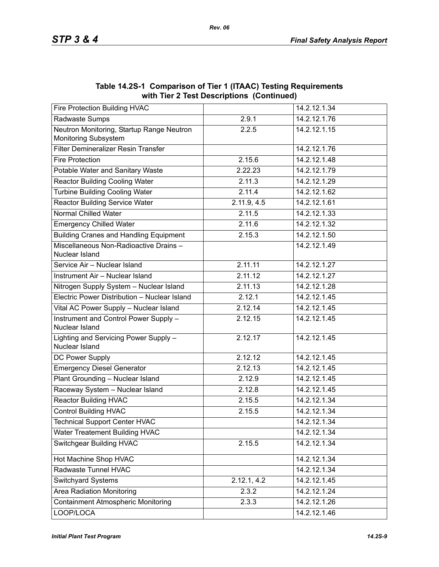|                                                                   | $\frac{1}{100}$ and $\frac{1}{200}$ and $\frac{1}{200}$ be supposed the set of $\frac{1}{200}$ |              |
|-------------------------------------------------------------------|------------------------------------------------------------------------------------------------|--------------|
| Fire Protection Building HVAC                                     |                                                                                                | 14.2.12.1.34 |
| Radwaste Sumps                                                    | 2.9.1                                                                                          | 14.2.12.1.76 |
| Neutron Monitoring, Startup Range Neutron<br>Monitoring Subsystem | 2.2.5                                                                                          | 14.2.12.1.15 |
| Filter Demineralizer Resin Transfer                               |                                                                                                | 14.2.12.1.76 |
| <b>Fire Protection</b>                                            | 2.15.6                                                                                         | 14.2.12.1.48 |
| Potable Water and Sanitary Waste                                  | 2.22.23                                                                                        | 14.2.12.1.79 |
| <b>Reactor Building Cooling Water</b>                             | 2.11.3                                                                                         | 14.2.12.1.29 |
| <b>Turbine Building Cooling Water</b>                             | 2.11.4                                                                                         | 14.2.12.1.62 |
| <b>Reactor Building Service Water</b>                             | 2.11.9, 4.5                                                                                    | 14.2.12.1.61 |
| <b>Normal Chilled Water</b>                                       | 2.11.5                                                                                         | 14.2.12.1.33 |
| <b>Emergency Chilled Water</b>                                    | 2.11.6                                                                                         | 14.2.12.1.32 |
| <b>Building Cranes and Handling Equipment</b>                     | 2.15.3                                                                                         | 14.2.12.1.50 |
| Miscellaneous Non-Radioactive Drains-<br>Nuclear Island           |                                                                                                | 14.2.12.1.49 |
| Service Air - Nuclear Island                                      | 2.11.11                                                                                        | 14.2.12.1.27 |
| Instrument Air - Nuclear Island                                   | 2.11.12                                                                                        | 14.2.12.1.27 |
| Nitrogen Supply System - Nuclear Island                           | 2.11.13                                                                                        | 14.2.12.1.28 |
| Electric Power Distribution - Nuclear Island                      | 2.12.1                                                                                         | 14.2.12.1.45 |
| Vital AC Power Supply - Nuclear Island                            | 2.12.14                                                                                        | 14.2.12.1.45 |
| Instrument and Control Power Supply -<br>Nuclear Island           | 2.12.15                                                                                        | 14.2.12.1.45 |
| Lighting and Servicing Power Supply -<br>Nuclear Island           | 2.12.17                                                                                        | 14.2.12.1.45 |
| DC Power Supply                                                   | 2.12.12                                                                                        | 14.2.12.1.45 |
| <b>Emergency Diesel Generator</b>                                 | 2.12.13                                                                                        | 14.2.12.1.45 |
| Plant Grounding - Nuclear Island                                  | 2.12.9                                                                                         | 14.2.12.1.45 |
| Raceway System - Nuclear Island                                   | 2.12.8                                                                                         | 14.2.12.1.45 |
| <b>Reactor Building HVAC</b>                                      | 2.15.5                                                                                         | 14.2.12.1.34 |
| <b>Control Building HVAC</b>                                      | 2.15.5                                                                                         | 14.2.12.1.34 |
| <b>Technical Support Center HVAC</b>                              |                                                                                                | 14.2.12.1.34 |
| Water Treatement Building HVAC                                    |                                                                                                | 14.2.12.1.34 |
| <b>Switchgear Building HVAC</b>                                   | 2.15.5                                                                                         | 14.2.12.1.34 |
| Hot Machine Shop HVAC                                             |                                                                                                | 14.2.12.1.34 |
| Radwaste Tunnel HVAC                                              |                                                                                                | 14.2.12.1.34 |
| Switchyard Systems                                                | 2.12.1, 4.2                                                                                    | 14.2.12.1.45 |
| <b>Area Radiation Monitoring</b>                                  | 2.3.2                                                                                          | 14.2.12.1.24 |
| <b>Containment Atmospheric Monitoring</b>                         | 2.3.3                                                                                          | 14.2.12.1.26 |
| LOOP/LOCA                                                         |                                                                                                | 14.2.12.1.46 |

**Table 14.2S-1 Comparison of Tier 1 (ITAAC) Testing Requirements with Tier 2 Test Descriptions (Continued)**